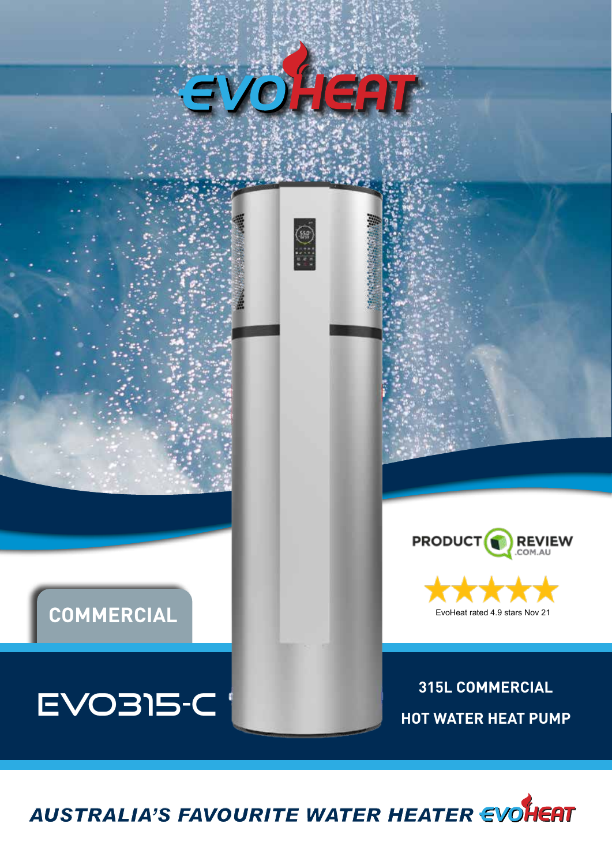



## PRODUCT<sup>(</sup> **REVIEW**



**315L COMMERCIAL HOT WATER HEAT PUMP**



**COMMERCIAL**

EVO315-C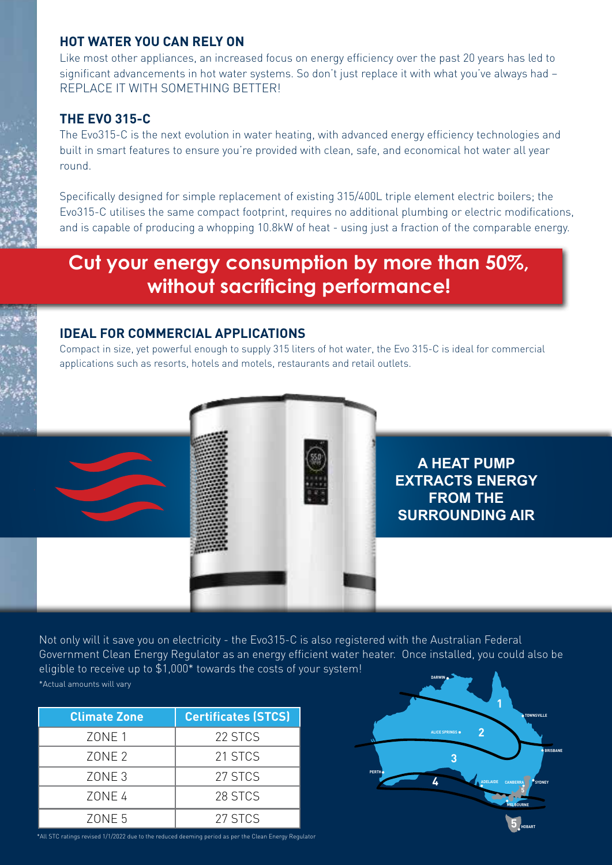#### **HOT WATER YOU CAN RELY ON**

Like most other appliances, an increased focus on energy efficiency over the past 20 years has led to significant advancements in hot water systems. So don't just replace it with what you've always had – REPLACE IT WITH SOMETHING BETTER!

### **THE EVO 315-C**

The Evo315-C is the next evolution in water heating, with advanced energy efficiency technologies and built in smart features to ensure you're provided with clean, safe, and economical hot water all year round.

Specifically designed for simple replacement of existing 315/400L triple element electric boilers; the Evo315-C utilises the same compact footprint, requires no additional plumbing or electric modifications, and is capable of producing a whopping 10.8kW of heat - using just a fraction of the comparable energy.

# **Cut your energy consumption by more than 50%, without sacrificing performance!**

#### **IDEAL FOR COMMERCIAL APPLICATIONS**

Compact in size, yet powerful enough to supply 315 liters of hot water, the Evo 315-C is ideal for commercial applications such as resorts, hotels and motels, restaurants and retail outlets.

## **A HEAT PUMP EXTRACTS ENERGY FROM THE SURROUNDING AIR**

**DARWIN** Not only will it save you on electricity - the Evo315-C is also registered with the Australian Federal Government Clean Energy Regulator as an energy efficient water heater. Once installed, you could also be eligible to receive up to \$1,000\* towards the costs of your system! \*Actual amounts will vary

| <b>Climate Zone</b> | <b>Certificates (STCS)</b> |
|---------------------|----------------------------|
| ZONE 1              | 22 STCS                    |
| ZONE <sub>2</sub>   | 21 STCS                    |
| ZONE <sub>3</sub>   | 27 STCS                    |
| ZONE 4              | 28 STCS                    |
| ZONE <sub>5</sub>   | 27 STCS                    |

**5 2 3 4 5 BRISBANE TOWNSVILLE CANBERRA SYDNEY MELBOURNE HOBART ADELAIDE PERTH ALICE SPRINGS**

\*All STC ratings revised 1/1/2022 due to the reduced deeming period as per the Clean Energy Regulator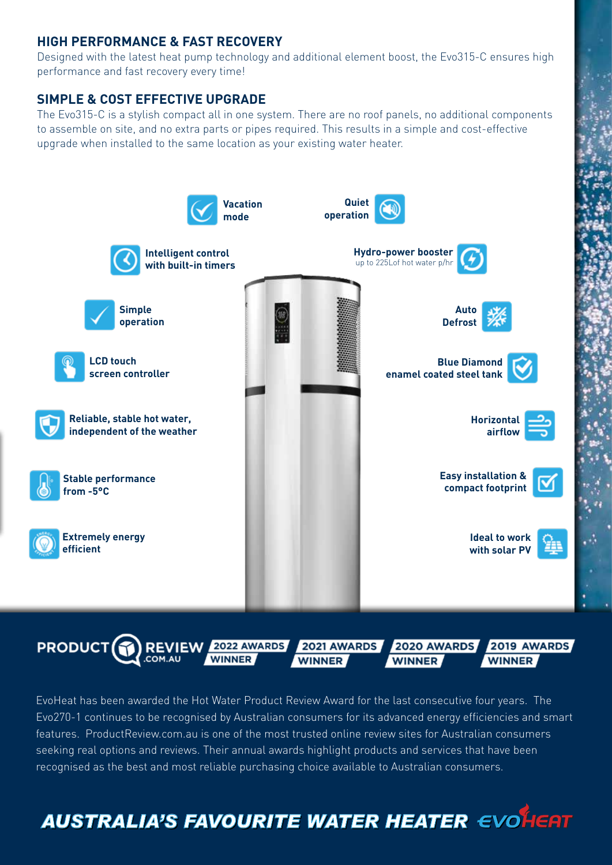#### **HIGH PERFORMANCE & FAST RECOVERY**

Designed with the latest heat pump technology and additional element boost, the Evo315-C ensures high performance and fast recovery every time!

#### **SIMPLE & COST EFFECTIVE UPGRADE**

The Evo315-C is a stylish compact all in one system. There are no roof panels, no additional components to assemble on site, and no extra parts or pipes required. This results in a simple and cost-effective upgrade when installed to the same location as your existing water heater.





EvoHeat has been awarded the Hot Water Product Review Award for the last consecutive four years. The Evo270-1 continues to be recognised by Australian consumers for its advanced energy efficiencies and smart features. ProductReview.com.au is one of the most trusted online review sites for Australian consumers seeking real options and reviews. Their annual awards highlight products and services that have been recognised as the best and most reliable purchasing choice available to Australian consumers.

**AUSTRALIA'S FAVOURITE WATER HEATER EVOLUTE**